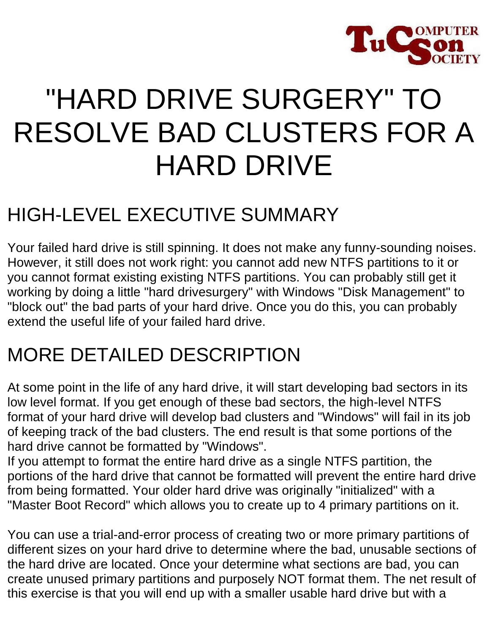

# "HARD DRIVE SURGERY" TO RESOLVE BAD CLUSTERS FOR A HARD DRIVE

# HIGH-LEVEL EXECUTIVE SUMMARY

Your failed hard drive is still spinning. It does not make any funny-sounding noises. However, it still does not work right: you cannot add new NTFS partitions to it or you cannot format existing existing NTFS partitions. You can probably still get it working by doing a little "hard drivesurgery" with Windows "Disk Management" to "block out" the bad parts of your hard drive. Once you do this, you can probably extend the useful life of your failed hard drive.

## MORE DETAILED DESCRIPTION

At some point in the life of any hard drive, it will start developing bad sectors in its low level format. If you get enough of these bad sectors, the high-level NTFS format of your hard drive will develop bad clusters and "Windows" will fail in its job of keeping track of the bad clusters. The end result is that some portions of the hard drive cannot be formatted by "Windows".

If you attempt to format the entire hard drive as a single NTFS partition, the portions of the hard drive that cannot be formatted will prevent the entire hard drive from being formatted. Your older hard drive was originally "initialized" with a "Master Boot Record" which allows you to create up to 4 primary partitions on it.

You can use a trial-and-error process of creating two or more primary partitions of different sizes on your hard drive to determine where the bad, unusable sections of the hard drive are located. Once your determine what sections are bad, you can create unused primary partitions and purposely NOT format them. The net result of this exercise is that you will end up with a smaller usable hard drive but with a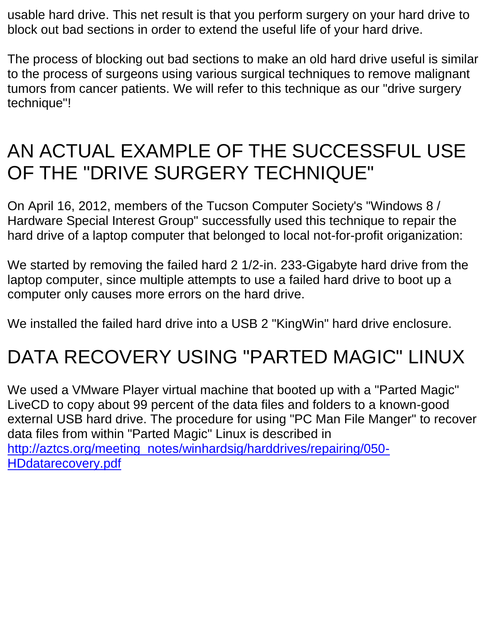usable hard drive. This net result is that you perform surgery on your hard drive to block out bad sections in order to extend the useful life of your hard drive.

The process of blocking out bad sections to make an old hard drive useful is similar to the process of surgeons using various surgical techniques to remove malignant tumors from cancer patients. We will refer to this technique as our "drive surgery technique"!

## AN ACTUAL EXAMPLE OF THE SUCCESSFUL USE OF THE "DRIVE SURGERY TECHNIQUE"

On April 16, 2012, members of the Tucson Computer Society's "Windows 8 / Hardware Special Interest Group" successfully used this technique to repair the hard drive of a laptop computer that belonged to local not-for-profit origanization:

We started by removing the failed hard 2 1/2-in. 233-Gigabyte hard drive from the laptop computer, since multiple attempts to use a failed hard drive to boot up a computer only causes more errors on the hard drive.

We installed the failed hard drive into a USB 2 "KingWin" hard drive enclosure.

# DATA RECOVERY USING "PARTED MAGIC" LINUX

We used a VMware Player virtual machine that booted up with a "Parted Magic" LiveCD to copy about 99 percent of the data files and folders to a known-good external USB hard drive. The procedure for using "PC Man File Manger" to recover data files from within "Parted Magic" Linux is described in [http://aztcs.org/meeting\\_notes/winhardsig/harddrives/repairing/050-](http://aztcs.org/meeting_notes/winhardsig/harddrives/repairing/050-HDdatarecovery.pdf) [HDdatarecovery.pdf](http://aztcs.org/meeting_notes/winhardsig/harddrives/repairing/050-HDdatarecovery.pdf)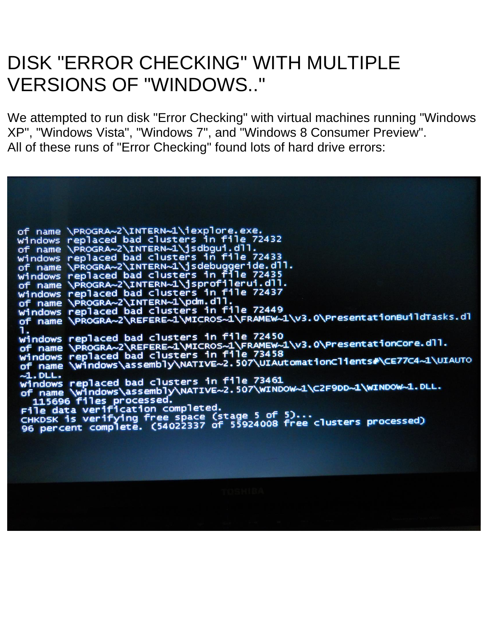#### DISK "ERROR CHECKING" WITH MULTIPLE VERSIONS OF "WINDOWS.."

We attempted to run disk "Error Checking" with virtual machines running "Windows XP", "Windows Vista", "Windows 7", and "Windows 8 Consumer Preview". All of these runs of "Error Checking" found lots of hard drive errors:

of name \PROGRA-Z\INTERN-l\iexplore.exe.<br>Windows replaced bad clusters in file 72432<br>of name \PROGRA-Z\INTERN-l\jsdbgui.dll.<br>Windows replaced bad clusters in file 72433<br>of name \PROGRA-Z\INTERN-l\jsdebuggeride.dll.<br>Windows 1.<br>Windows replaced bad clusters in file 72450<br>of name \PROGRA~2\REFERE~1\MICROS~1\FRAMEW~1\v3.0\PresentationCore.dll.<br>Windows replaced bad clusters in file 73458<br>of name \Windows\assembly\NATIVE~2.507\UIAutomationClients# ~1.DLL.<br>windows replaced bad clusters in file 73461<br>of name \windows\assembly\NATIVE~2.507\WINDOW~1\C2F9DD~1\WINDOW~1.DLL.<br>115696 files processed.<br>File data verification completed.<br>CHKDSK is verifying free space (stage 5 o  $-1.$  DLL.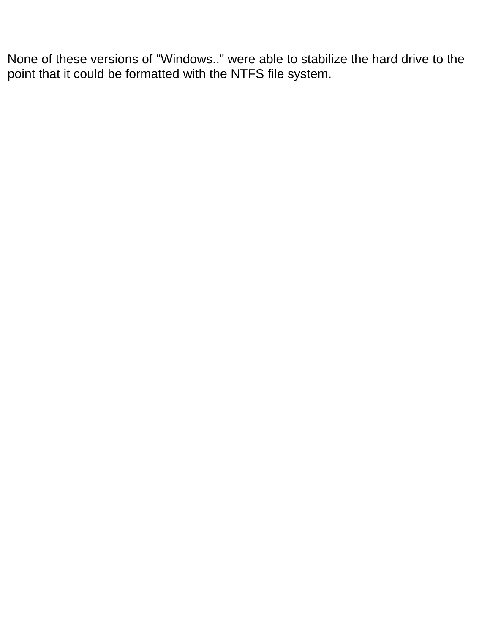None of these versions of "Windows.." were able to stabilize the hard drive to the point that it could be formatted with the NTFS file system.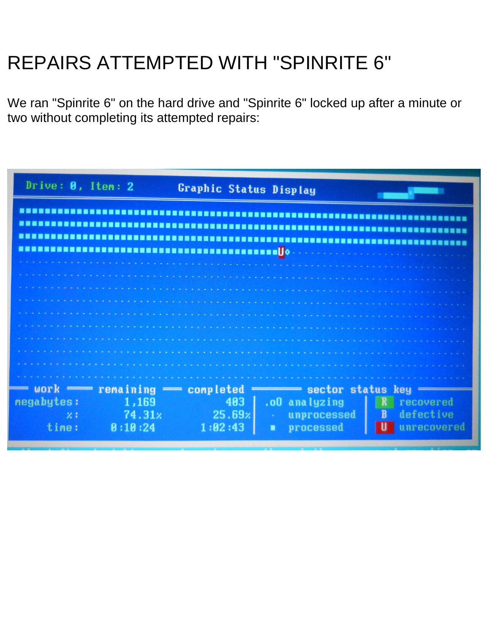# REPAIRS ATTEMPTED WITH "SPINRITE 6"

We ran "Spinrite 6" on the hard drive and "Spinrite 6" locked up after a minute or two without completing its attempted repairs:

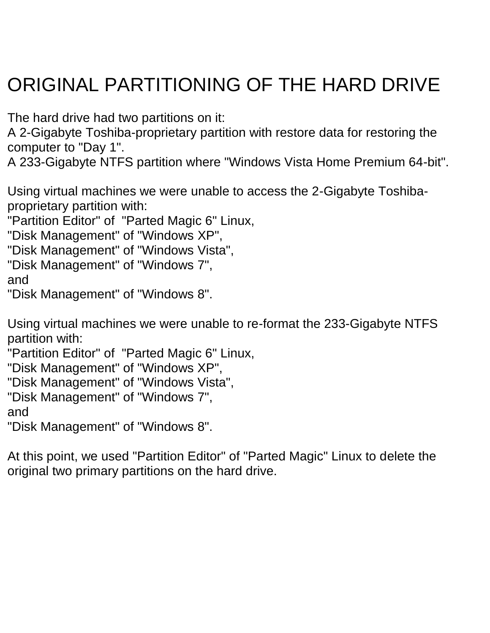# ORIGINAL PARTITIONING OF THE HARD DRIVE

The hard drive had two partitions on it:

A 2-Gigabyte Toshiba-proprietary partition with restore data for restoring the computer to "Day 1".

A 233-Gigabyte NTFS partition where "Windows Vista Home Premium 64-bit".

Using virtual machines we were unable to access the 2-Gigabyte Toshibaproprietary partition with:

"Partition Editor" of "Parted Magic 6" Linux,

"Disk Management" of "Windows XP",

"Disk Management" of "Windows Vista",

"Disk Management" of "Windows 7",

and

"Disk Management" of "Windows 8".

Using virtual machines we were unable to re-format the 233-Gigabyte NTFS partition with:

"Partition Editor" of "Parted Magic 6" Linux,

"Disk Management" of "Windows XP",

"Disk Management" of "Windows Vista",

```
"Disk Management" of "Windows 7",
```
and

"Disk Management" of "Windows 8".

At this point, we used "Partition Editor" of "Parted Magic" Linux to delete the original two primary partitions on the hard drive.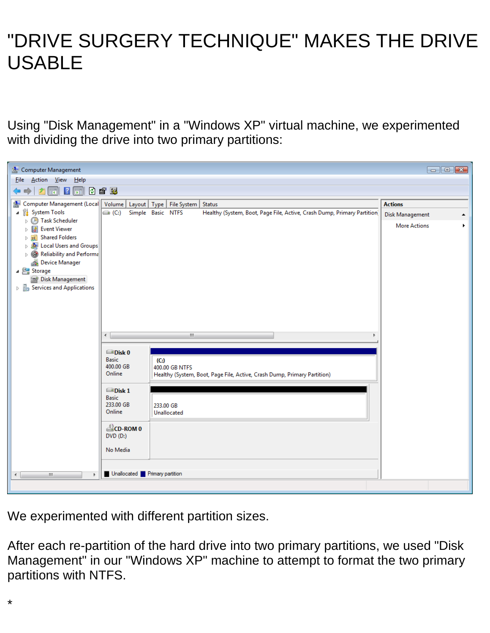## "DRIVE SURGERY TECHNIQUE" MAKES THE DRIVE USABLE

Using "Disk Management" in a "Windows XP" virtual machine, we experimented with dividing the drive into two primary partitions:



We experimented with different partition sizes.

After each re-partition of the hard drive into two primary partitions, we used "Disk Management" in our "Windows XP" machine to attempt to format the two primary partitions with NTFS.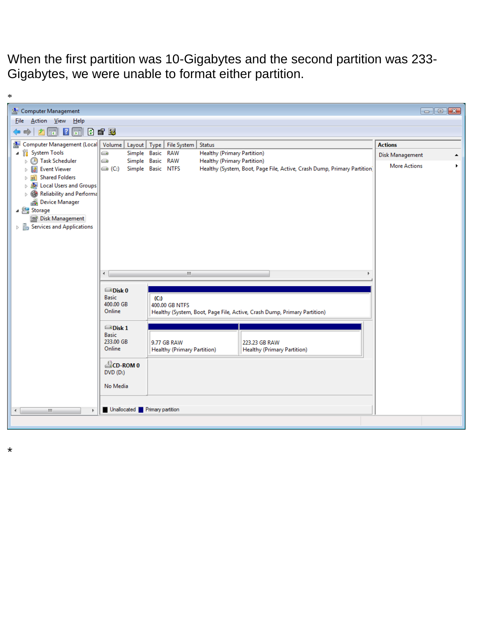When the first partition was 10-Gigabytes and the second partition was 233- Gigabytes, we were unable to format either partition.

| $\ast$                                                                        |                                          |                                                                          |                                    |                                                                          |                      |  |  |  |
|-------------------------------------------------------------------------------|------------------------------------------|--------------------------------------------------------------------------|------------------------------------|--------------------------------------------------------------------------|----------------------|--|--|--|
| Computer Management                                                           |                                          |                                                                          |                                    |                                                                          | $\Box$ $\Box$ $\Box$ |  |  |  |
| Action View Help<br>File                                                      |                                          |                                                                          |                                    |                                                                          |                      |  |  |  |
| 0 6 5<br>$\sqrt{2}$<br>$\overline{ \overline{ \cdot }}$<br>नि                 |                                          |                                                                          |                                    |                                                                          |                      |  |  |  |
| Computer Management (Local<br>놐                                               |                                          | Volume   Layout   Type   File System   Status                            |                                    |                                                                          | <b>Actions</b>       |  |  |  |
| ▲ <sup>1</sup> System Tools                                                   | e                                        | Simple Basic RAW                                                         | <b>Healthy (Primary Partition)</b> |                                                                          | Disk Management      |  |  |  |
| <b>B</b> Task Scheduler<br>Þ<br><b>Event Viewer</b><br>身<br>$\triangleright$  | o<br>$\left( $ (C:)                      | Simple Basic RAW<br>Simple Basic NTFS                                    | <b>Healthy (Primary Partition)</b> | Healthy (System, Boot, Page File, Active, Crash Dump, Primary Partition) | <b>More Actions</b>  |  |  |  |
| <b>Shared Folders</b><br>> 22                                                 |                                          |                                                                          |                                    |                                                                          |                      |  |  |  |
| <b>DELECTED</b> Local Users and Groups<br>Reliability and Performa            |                                          |                                                                          |                                    |                                                                          |                      |  |  |  |
| Device Manager                                                                |                                          |                                                                          |                                    |                                                                          |                      |  |  |  |
| Storage                                                                       |                                          |                                                                          |                                    |                                                                          |                      |  |  |  |
| Disk Management<br>$\triangleright$ $\frac{1}{100}$ Services and Applications |                                          |                                                                          |                                    |                                                                          |                      |  |  |  |
|                                                                               |                                          |                                                                          |                                    |                                                                          |                      |  |  |  |
|                                                                               |                                          |                                                                          |                                    |                                                                          |                      |  |  |  |
|                                                                               |                                          |                                                                          |                                    |                                                                          |                      |  |  |  |
|                                                                               |                                          |                                                                          |                                    |                                                                          |                      |  |  |  |
|                                                                               | $\left\vert \mathbf{H}\right\vert$<br>∢∣ |                                                                          |                                    |                                                                          |                      |  |  |  |
|                                                                               | $\blacksquare$ Disk 0                    |                                                                          |                                    |                                                                          |                      |  |  |  |
|                                                                               | <b>Basic</b><br>400.00 GB                | $(C_i)$<br>400.00 GB NTFS                                                |                                    |                                                                          |                      |  |  |  |
|                                                                               | Online                                   | Healthy (System, Boot, Page File, Active, Crash Dump, Primary Partition) |                                    |                                                                          |                      |  |  |  |
|                                                                               | $\blacksquare$ Disk 1                    |                                                                          |                                    |                                                                          |                      |  |  |  |
|                                                                               | <b>Basic</b>                             |                                                                          |                                    |                                                                          |                      |  |  |  |
|                                                                               | 233.00 GB<br>Online                      | 9.77 GB RAW<br><b>Healthy (Primary Partition)</b>                        |                                    | 223.23 GB RAW<br><b>Healthy (Primary Partition)</b>                      |                      |  |  |  |
|                                                                               |                                          |                                                                          |                                    |                                                                          |                      |  |  |  |
|                                                                               | <b>ECD-ROM 0</b><br>$DVD$ (D:)           |                                                                          |                                    |                                                                          |                      |  |  |  |
|                                                                               | No Media                                 |                                                                          |                                    |                                                                          |                      |  |  |  |
|                                                                               |                                          |                                                                          |                                    |                                                                          |                      |  |  |  |
| m.<br>$\leftarrow$                                                            | Unallocated <b>P</b> Primary partition   |                                                                          |                                    |                                                                          |                      |  |  |  |
|                                                                               |                                          |                                                                          |                                    |                                                                          |                      |  |  |  |
|                                                                               |                                          |                                                                          |                                    |                                                                          |                      |  |  |  |

\*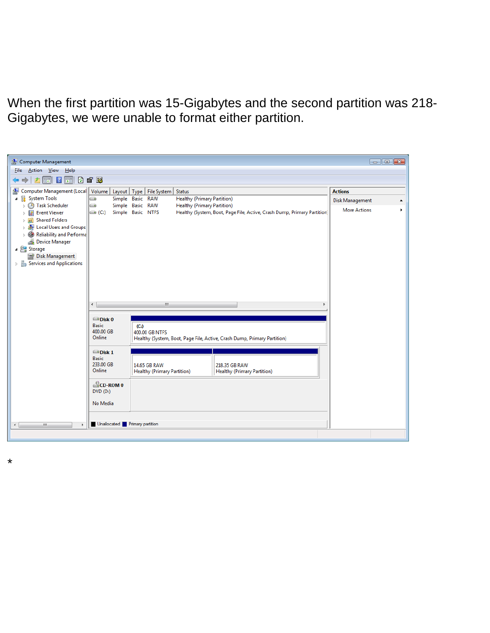When the first partition was 15-Gigabytes and the second partition was 218- Gigabytes, we were unable to format either partition.

| Computer Management                                                                                |                                                                            |                                      |                                    |                                                                          | $\Box$ $\Box$ $\mathbf{x}$ |   |  |  |  |  |
|----------------------------------------------------------------------------------------------------|----------------------------------------------------------------------------|--------------------------------------|------------------------------------|--------------------------------------------------------------------------|----------------------------|---|--|--|--|--|
| Action View Help<br><b>File</b>                                                                    |                                                                            |                                      |                                    |                                                                          |                            |   |  |  |  |  |
| 0 6 5<br>$\vert$ ? $\vert$ $\vert$<br>詞                                                            |                                                                            |                                      |                                    |                                                                          |                            |   |  |  |  |  |
| Computer Management (Local<br>渠                                                                    |                                                                            | Volume   Layout   Type   File System | <b>Status</b>                      |                                                                          | <b>Actions</b>             |   |  |  |  |  |
| 继<br><b>System Tools</b><br>4                                                                      | $\bigcirc$                                                                 | Simple Basic RAW                     | <b>Healthy (Primary Partition)</b> |                                                                          | Disk Management            |   |  |  |  |  |
| $\triangleright$ ( $\bigoplus$ ) Task Scheduler                                                    | $\bigoplus$                                                                | Simple Basic RAW                     | <b>Healthy (Primary Partition)</b> |                                                                          | <b>More Actions</b>        | ١ |  |  |  |  |
| <b>B</b> Event Viewer                                                                              | $\bigoplus (C_i)$                                                          | Simple Basic NTFS                    |                                    | Healthy (System, Boot, Page File, Active, Crash Dump, Primary Partition) |                            |   |  |  |  |  |
| <b>Shared Folders</b><br>$\triangleright$ 23                                                       |                                                                            |                                      |                                    |                                                                          |                            |   |  |  |  |  |
| <b>DELECTED</b> Local Users and Groups<br>$\triangleright$ $\circledcirc$ Reliability and Performa |                                                                            |                                      |                                    |                                                                          |                            |   |  |  |  |  |
| Device Manager                                                                                     |                                                                            |                                      |                                    |                                                                          |                            |   |  |  |  |  |
| ⊿ Storage                                                                                          |                                                                            |                                      |                                    |                                                                          |                            |   |  |  |  |  |
| Disk Management                                                                                    |                                                                            |                                      |                                    |                                                                          |                            |   |  |  |  |  |
| $\triangleright$ $\mathbb{R}_k$ Services and Applications                                          |                                                                            |                                      |                                    |                                                                          |                            |   |  |  |  |  |
|                                                                                                    |                                                                            |                                      |                                    |                                                                          |                            |   |  |  |  |  |
|                                                                                                    |                                                                            |                                      |                                    |                                                                          |                            |   |  |  |  |  |
|                                                                                                    |                                                                            |                                      |                                    |                                                                          |                            |   |  |  |  |  |
|                                                                                                    |                                                                            |                                      |                                    |                                                                          |                            |   |  |  |  |  |
|                                                                                                    | ∢∣                                                                         | m.                                   |                                    |                                                                          |                            |   |  |  |  |  |
|                                                                                                    |                                                                            |                                      |                                    |                                                                          |                            |   |  |  |  |  |
|                                                                                                    | Disk 0                                                                     |                                      |                                    |                                                                          |                            |   |  |  |  |  |
|                                                                                                    | <b>Basic</b><br>(C <sub>i</sub> )<br>400.00 GB<br>400.00 GB NTFS<br>Online |                                      |                                    |                                                                          |                            |   |  |  |  |  |
|                                                                                                    |                                                                            |                                      |                                    |                                                                          |                            |   |  |  |  |  |
|                                                                                                    | Healthy (System, Boot, Page File, Active, Crash Dump, Primary Partition)   |                                      |                                    |                                                                          |                            |   |  |  |  |  |
|                                                                                                    | $\Box$ Disk 1                                                              |                                      |                                    |                                                                          |                            |   |  |  |  |  |
|                                                                                                    | <b>Basic</b>                                                               |                                      |                                    |                                                                          |                            |   |  |  |  |  |
|                                                                                                    | 233.00 GB<br>Online                                                        | 14.65 GB RAW                         |                                    | 218.35 GB RAW                                                            |                            |   |  |  |  |  |
|                                                                                                    |                                                                            | <b>Healthy (Primary Partition)</b>   |                                    | <b>Healthy (Primary Partition)</b>                                       |                            |   |  |  |  |  |
|                                                                                                    | $\triangle$ CD-ROM 0<br>$DVD$ (D:)                                         |                                      |                                    |                                                                          |                            |   |  |  |  |  |
|                                                                                                    |                                                                            |                                      |                                    |                                                                          |                            |   |  |  |  |  |
|                                                                                                    | No Media                                                                   |                                      |                                    |                                                                          |                            |   |  |  |  |  |
|                                                                                                    |                                                                            |                                      |                                    |                                                                          |                            |   |  |  |  |  |
| Unallocated <b>P</b> Primary partition<br>$\blacktriangleleft$<br>m.                               |                                                                            |                                      |                                    |                                                                          |                            |   |  |  |  |  |
|                                                                                                    |                                                                            |                                      |                                    |                                                                          |                            |   |  |  |  |  |

\*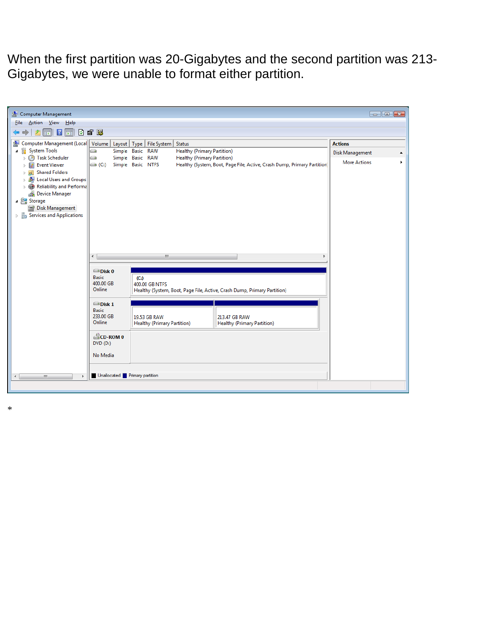When the first partition was 20-Gigabytes and the second partition was 213- Gigabytes, we were unable to format either partition.

| Computer Management                                                                                                                                                                                                                                                                                     |                                                      |                                                                                                                 |                                    |                                                                          |                        | $\Box$ $\Box$ $\bm{x}$ |  |  |
|---------------------------------------------------------------------------------------------------------------------------------------------------------------------------------------------------------------------------------------------------------------------------------------------------------|------------------------------------------------------|-----------------------------------------------------------------------------------------------------------------|------------------------------------|--------------------------------------------------------------------------|------------------------|------------------------|--|--|
| <u>A</u> ction <u>V</u> iew <u>H</u> elp<br><b>File</b><br>F 7 F 0 2 5<br>r                                                                                                                                                                                                                             |                                                      |                                                                                                                 |                                    |                                                                          |                        |                        |  |  |
| Computer Management (Local<br>锡                                                                                                                                                                                                                                                                         |                                                      | Volume   Layout   Type   File System   Status                                                                   |                                    |                                                                          | <b>Actions</b>         |                        |  |  |
| 4 <sup>2</sup> System Tools                                                                                                                                                                                                                                                                             | o                                                    | Simple Basic RAW                                                                                                | <b>Healthy (Primary Partition)</b> |                                                                          | <b>Disk Management</b> | ▲                      |  |  |
| <b>4</b> Task Scheduler<br>D.<br><b>Event Viewer</b><br>la:<br>$\triangleright$<br><b>Shared Folders</b><br>> 22<br>Local Users and Groups<br>⊳ 泰<br>Reliability and Performa<br>毒<br><b>Device Manager</b><br>Storage<br>Disk Management<br>$\triangleright$ $\frac{1}{100}$ Services and Applications | o<br>$\bigoplus$ (C:)                                | Simple Basic RAW<br>Simple Basic NTFS                                                                           | <b>Healthy (Primary Partition)</b> | Healthy (System, Boot, Page File, Active, Crash Dump, Primary Partition) | <b>More Actions</b>    |                        |  |  |
|                                                                                                                                                                                                                                                                                                         | $\blacktriangleleft$                                 | m.                                                                                                              |                                    |                                                                          |                        |                        |  |  |
|                                                                                                                                                                                                                                                                                                         | Disk 0<br><b>Basic</b><br>400.00 GB<br>Online        | (C <sub>i</sub> )<br>400.00 GB NTFS<br>Healthy (System, Boot, Page File, Active, Crash Dump, Primary Partition) |                                    |                                                                          |                        |                        |  |  |
|                                                                                                                                                                                                                                                                                                         | $\Box$ Disk 1<br><b>Basic</b><br>233.00 GB<br>Online | 19.53 GB RAW<br><b>Healthy (Primary Partition)</b>                                                              |                                    | 213.47 GB RAW<br><b>Healthy (Primary Partition)</b>                      |                        |                        |  |  |
|                                                                                                                                                                                                                                                                                                         | CD-ROM 0<br>$DVD$ $(D:$                              |                                                                                                                 |                                    |                                                                          |                        |                        |  |  |
| $\leftarrow$<br>m.                                                                                                                                                                                                                                                                                      | No Media<br>Unallocated Primary partition            |                                                                                                                 |                                    |                                                                          |                        |                        |  |  |

\*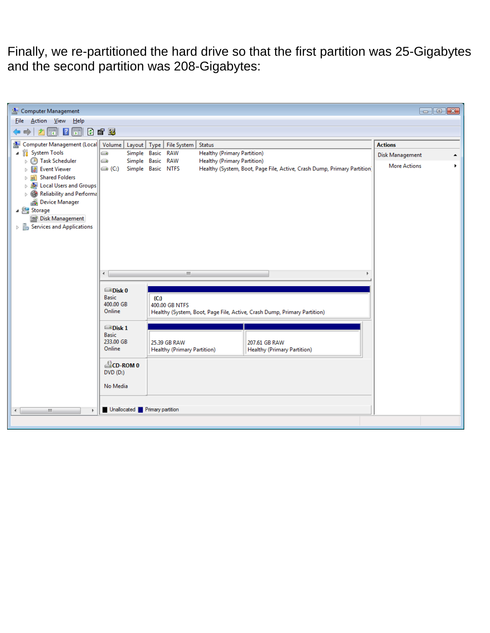Finally, we re-partitioned the hard drive so that the first partition was 25-Gigabytes and the second partition was 208-Gigabytes:

| Computer Management                                                 |                                               |                                                                          |                      |                                    | $\Box$ $\Box$ $\mathbf{x}$ |  |  |  |
|---------------------------------------------------------------------|-----------------------------------------------|--------------------------------------------------------------------------|----------------------|------------------------------------|----------------------------|--|--|--|
| Action <u>V</u> iew Help<br><b>File</b>                             |                                               |                                                                          |                      |                                    |                            |  |  |  |
| $\boxed{r}$ $\boxed{?}$ $\boxed{r}$ $\boxed{0}$ if $\boxed{B}$<br>v |                                               |                                                                          |                      |                                    |                            |  |  |  |
| Computer Management (Local<br>爆                                     | Volume   Layout   Type   File System   Status | <b>Actions</b>                                                           |                      |                                    |                            |  |  |  |
| ▲ <sup>1</sup> System Tools                                         | o                                             | Simple Basic RAW                                                         | Disk Management<br>▲ |                                    |                            |  |  |  |
| <b>4</b> Task Scheduler<br>$\triangleright$                         | e                                             | Simple Basic RAW                                                         | <b>More Actions</b>  |                                    |                            |  |  |  |
| <b>Event Viewer</b><br>la<br>$\triangleright$                       |                                               | Simple Basic NTFS                                                        |                      |                                    |                            |  |  |  |
| <b>Shared Folders</b><br>$\triangleright$ 23                        |                                               |                                                                          |                      |                                    |                            |  |  |  |
| <b>Development Users and Groups</b><br>Reliability and Performa     |                                               |                                                                          |                      |                                    |                            |  |  |  |
| Device Manager                                                      |                                               |                                                                          |                      |                                    |                            |  |  |  |
| ⊿ Storage                                                           |                                               |                                                                          |                      |                                    |                            |  |  |  |
| Disk Management                                                     |                                               |                                                                          |                      |                                    |                            |  |  |  |
| $\triangleright$ $\mathbb{R}_3$ Services and Applications           |                                               |                                                                          |                      |                                    |                            |  |  |  |
|                                                                     |                                               |                                                                          |                      |                                    |                            |  |  |  |
|                                                                     |                                               |                                                                          |                      |                                    |                            |  |  |  |
|                                                                     |                                               |                                                                          |                      |                                    |                            |  |  |  |
|                                                                     |                                               |                                                                          |                      |                                    |                            |  |  |  |
|                                                                     | €<br>m,                                       |                                                                          |                      |                                    |                            |  |  |  |
|                                                                     |                                               |                                                                          |                      |                                    |                            |  |  |  |
|                                                                     | $\blacksquare$ Disk 0                         |                                                                          |                      |                                    |                            |  |  |  |
|                                                                     | <b>Basic</b><br>400.00 GB                     | (C <sub>i</sub> )<br>400.00 GB NTFS                                      |                      |                                    |                            |  |  |  |
|                                                                     | Online                                        | Healthy (System, Boot, Page File, Active, Crash Dump, Primary Partition) |                      |                                    |                            |  |  |  |
|                                                                     |                                               |                                                                          |                      |                                    |                            |  |  |  |
|                                                                     | $\blacksquare$ Disk 1                         |                                                                          |                      |                                    |                            |  |  |  |
|                                                                     | <b>Basic</b><br>233.00 GB                     | 25.39 GB RAW                                                             |                      | 207.61 GB RAW                      |                            |  |  |  |
|                                                                     | Online                                        | <b>Healthy (Primary Partition)</b>                                       |                      | <b>Healthy (Primary Partition)</b> |                            |  |  |  |
|                                                                     |                                               |                                                                          |                      |                                    |                            |  |  |  |
|                                                                     | CD-ROM 0                                      |                                                                          |                      |                                    |                            |  |  |  |
|                                                                     | $DVD$ (D:)                                    |                                                                          |                      |                                    |                            |  |  |  |
|                                                                     | No Media                                      |                                                                          |                      |                                    |                            |  |  |  |
|                                                                     |                                               |                                                                          |                      |                                    |                            |  |  |  |
|                                                                     |                                               |                                                                          |                      |                                    |                            |  |  |  |
| Unallocated Primary partition<br>m.<br>$\blacktriangleleft$         |                                               |                                                                          |                      |                                    |                            |  |  |  |
|                                                                     |                                               |                                                                          |                      |                                    |                            |  |  |  |
|                                                                     |                                               |                                                                          |                      |                                    |                            |  |  |  |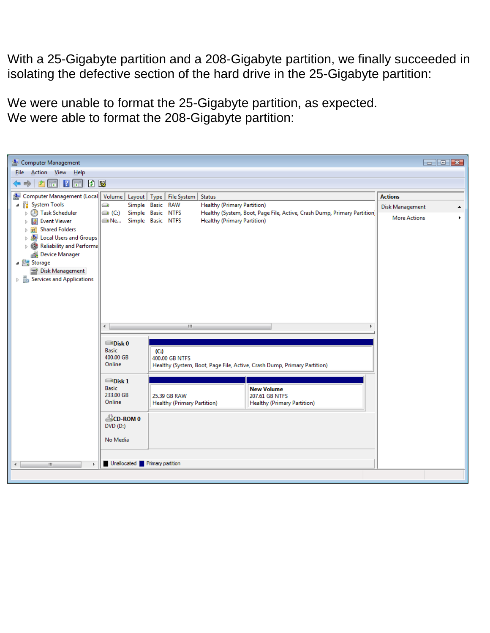With a 25-Gigabyte partition and a 208-Gigabyte partition, we finally succeeded in isolating the defective section of the hard drive in the 25-Gigabyte partition:

We were unable to format the 25-Gigabyte partition, as expected. We were able to format the 208-Gigabyte partition: